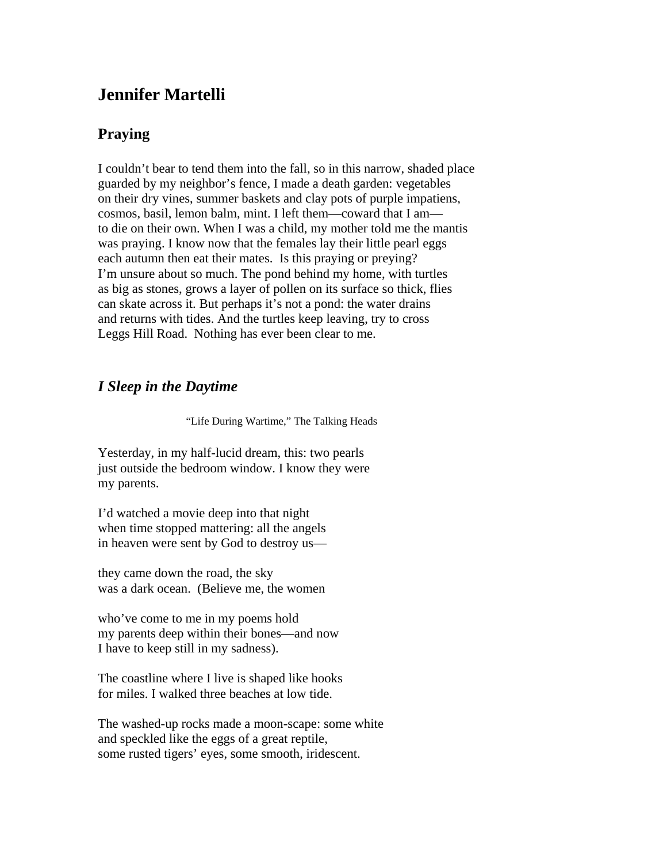# **Jennifer Martelli**

# **Praying**

I couldn't bear to tend them into the fall, so in this narrow, shaded place guarded by my neighbor's fence, I made a death garden: vegetables on their dry vines, summer baskets and clay pots of purple impatiens, cosmos, basil, lemon balm, mint. I left them—coward that I am to die on their own. When I was a child, my mother told me the mantis was praying. I know now that the females lay their little pearl eggs each autumn then eat their mates. Is this praying or preying? I'm unsure about so much. The pond behind my home, with turtles as big as stones, grows a layer of pollen on its surface so thick, flies can skate across it. But perhaps it's not a pond: the water drains and returns with tides. And the turtles keep leaving, try to cross Leggs Hill Road. Nothing has ever been clear to me.

## *I Sleep in the Daytime*

"Life During Wartime," The Talking Heads

Yesterday, in my half-lucid dream, this: two pearls just outside the bedroom window. I know they were my parents.

I'd watched a movie deep into that night when time stopped mattering: all the angels in heaven were sent by God to destroy us—

they came down the road, the sky was a dark ocean. (Believe me, the women

who've come to me in my poems hold my parents deep within their bones—and now I have to keep still in my sadness).

The coastline where I live is shaped like hooks for miles. I walked three beaches at low tide.

The washed-up rocks made a moon-scape: some white and speckled like the eggs of a great reptile, some rusted tigers' eyes, some smooth, iridescent.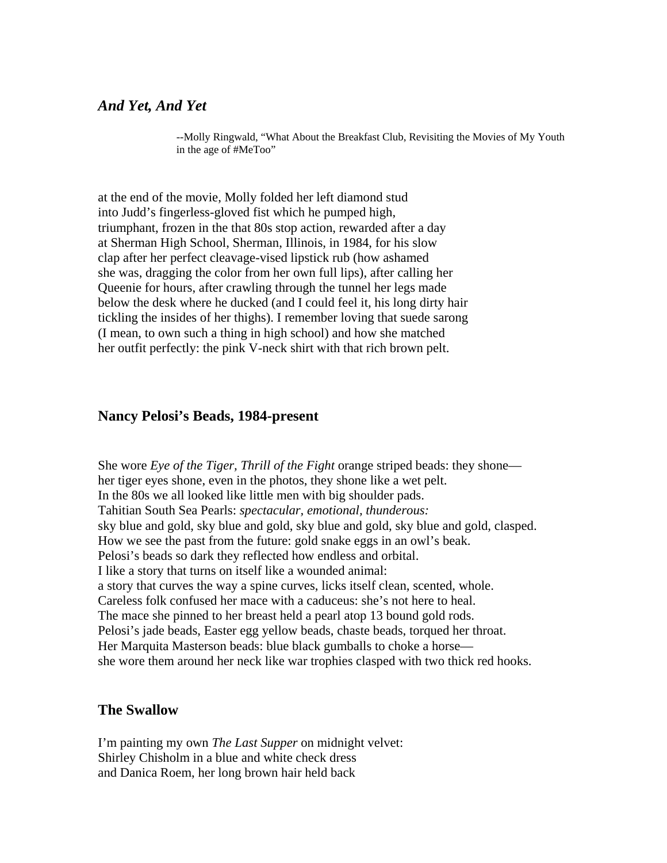## *And Yet, And Yet*

--Molly Ringwald, "What About the Breakfast Club, Revisiting the Movies of My Youth in the age of #MeToo"

at the end of the movie, Molly folded her left diamond stud into Judd's fingerless-gloved fist which he pumped high, triumphant, frozen in the that 80s stop action, rewarded after a day at Sherman High School, Sherman, Illinois, in 1984, for his slow clap after her perfect cleavage-vised lipstick rub (how ashamed she was, dragging the color from her own full lips), after calling her Queenie for hours, after crawling through the tunnel her legs made below the desk where he ducked (and I could feel it, his long dirty hair tickling the insides of her thighs). I remember loving that suede sarong (I mean, to own such a thing in high school) and how she matched her outfit perfectly: the pink V-neck shirt with that rich brown pelt.

### **Nancy Pelosi's Beads, 1984-present**

She wore *Eye of the Tiger, Thrill of the Fight* orange striped beads: they shone her tiger eyes shone, even in the photos, they shone like a wet pelt. In the 80s we all looked like little men with big shoulder pads. Tahitian South Sea Pearls: *spectacular, emotional, thunderous:* sky blue and gold, sky blue and gold, sky blue and gold, sky blue and gold, clasped. How we see the past from the future: gold snake eggs in an owl's beak. Pelosi's beads so dark they reflected how endless and orbital. I like a story that turns on itself like a wounded animal: a story that curves the way a spine curves, licks itself clean, scented, whole. Careless folk confused her mace with a caduceus: she's not here to heal. The mace she pinned to her breast held a pearl atop 13 bound gold rods. Pelosi's jade beads, Easter egg yellow beads, chaste beads, torqued her throat. Her Marquita Masterson beads: blue black gumballs to choke a horse she wore them around her neck like war trophies clasped with two thick red hooks.

#### **The Swallow**

I'm painting my own *The Last Supper* on midnight velvet: Shirley Chisholm in a blue and white check dress and Danica Roem, her long brown hair held back